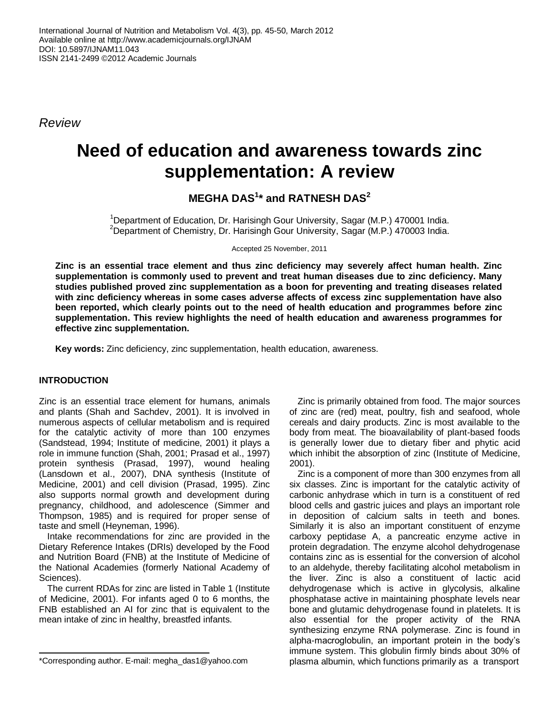*Review*

# **Need of education and awareness towards zinc supplementation: A review**

**MEGHA DAS<sup>1</sup> \* and RATNESH DAS<sup>2</sup>**

<sup>1</sup>Department of Education, Dr. Harisingh Gour University, Sagar (M.P.) 470001 India. <sup>2</sup>Department of Chemistry, Dr. Harisingh Gour University, Sagar (M.P.) 470003 India.

Accepted 25 November, 2011

**Zinc is an essential trace element and thus zinc deficiency may severely affect human health. Zinc supplementation is commonly used to prevent and treat human diseases due to zinc deficiency. Many studies published proved zinc supplementation as a boon for preventing and treating diseases related with zinc deficiency whereas in some cases adverse affects of excess zinc supplementation have also been reported, which clearly points out to the need of health education and programmes before zinc supplementation. This review highlights the need of health education and awareness programmes for effective zinc supplementation.**

**Key words:** Zinc deficiency, zinc supplementation, health education, awareness.

## **INTRODUCTION**

Zinc is an essential trace element for humans, animals and plants (Shah and Sachdev, 2001). It is involved in numerous aspects of cellular metabolism and is required for the catalytic activity of more than 100 enzymes (Sandstead, 1994; Institute of medicine, 2001) it plays a role in immune function (Shah, 2001; Prasad et al., 1997) protein synthesis (Prasad, 1997), wound healing (Lansdown et al., 2007), DNA synthesis (Institute of Medicine, 2001) and cell division (Prasad, 1995). Zinc also supports normal growth and development during pregnancy, childhood, and adolescence (Simmer and Thompson, 1985) and is required for proper sense of taste and smell (Heyneman, 1996).

Intake recommendations for zinc are provided in the Dietary Reference Intakes (DRIs) developed by the Food and Nutrition Board (FNB) at the Institute of Medicine of the National Academies (formerly National Academy of Sciences).

The current RDAs for zinc are listed in Table 1 (Institute of Medicine, 2001). For infants aged 0 to 6 months, the FNB established an AI for zinc that is equivalent to the mean intake of zinc in healthy, breastfed infants.

Zinc is primarily obtained from food. The major sources of zinc are (red) meat, poultry, fish and seafood, whole cereals and dairy products. Zinc is most available to the body from meat. The bioavailability of plant-based foods is generally lower due to dietary fiber and phytic acid which inhibit the absorption of zinc (Institute of Medicine, 2001).

Zinc is a component of more than 300 enzymes from all six classes. Zinc is important for the catalytic activity of carbonic anhydrase which in turn is a constituent of red blood cells and gastric juices and plays an important role in deposition of calcium salts in teeth and bones. Similarly it is also an important constituent of enzyme carboxy peptidase A, a pancreatic enzyme active in protein degradation. The enzyme alcohol dehydrogenase contains zinc as is essential for the conversion of alcohol to an aldehyde, thereby facilitating alcohol metabolism in the liver. Zinc is also a constituent of lactic acid dehydrogenase which is active in glycolysis, alkaline phosphatase active in maintaining phosphate levels near bone and glutamic dehydrogenase found in platelets. It is also essential for the proper activity of the RNA synthesizing enzyme RNA polymerase. Zinc is found in alpha-macroglobulin, an important protein in the body"s immune system. This globulin firmly binds about 30% of plasma albumin, which functions primarily as a transport

<sup>\*</sup>Corresponding author. E-mail: megha\_das1@yahoo.com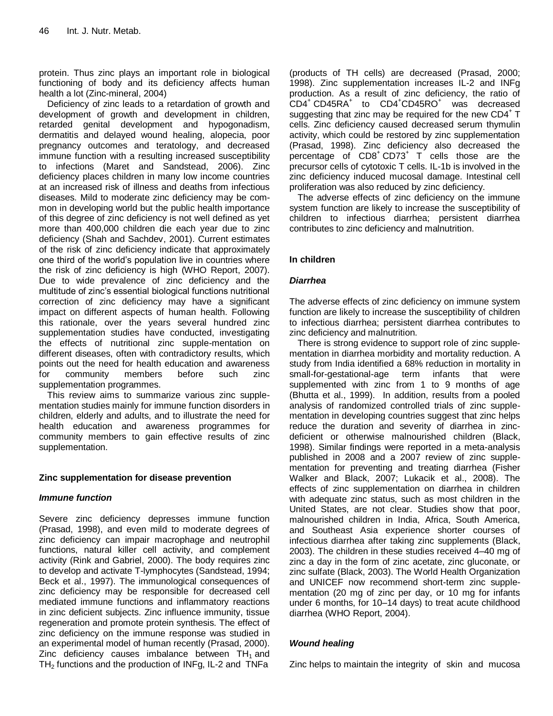protein. Thus zinc plays an important role in biological functioning of body and its deficiency affects human health a lot (Zinc-mineral, 2004)

Deficiency of zinc leads to a retardation of growth and development of growth and development in children, retarded genital development and hypogonadism, dermatitis and delayed wound healing, alopecia, poor pregnancy outcomes and teratology, and decreased immune function with a resulting increased susceptibility to infections (Maret and Sandstead, 2006). Zinc deficiency places children in many low income countries at an increased risk of illness and deaths from infectious diseases. Mild to moderate zinc deficiency may be common in developing world but the public health importance of this degree of zinc deficiency is not well defined as yet more than 400,000 children die each year due to zinc deficiency (Shah and Sachdev, 2001). Current estimates of the risk of zinc deficiency indicate that approximately one third of the world"s population live in countries where the risk of zinc deficiency is high (WHO Report, 2007). Due to wide prevalence of zinc deficiency and the multitude of zinc"s essential biological functions nutritional correction of zinc deficiency may have a significant impact on different aspects of human health. Following this rationale, over the years several hundred zinc supplementation studies have conducted, investigating the effects of nutritional zinc supple-mentation on different diseases, often with contradictory results, which points out the need for health education and awareness for community members before such zinc supplementation programmes.

This review aims to summarize various zinc supplementation studies mainly for immune function disorders in children, elderly and adults, and to illustrate the need for health education and awareness programmes for community members to gain effective results of zinc supplementation.

## **Zinc supplementation for disease prevention**

## *Immune function*

Severe zinc deficiency depresses immune function (Prasad, 1998), and even mild to moderate degrees of zinc deficiency can impair macrophage and neutrophil functions, natural killer cell activity, and complement activity (Rink and Gabriel, 2000). The body requires zinc to develop and activate T-lymphocytes (Sandstead, 1994; Beck et al., 1997). The immunological consequences of zinc deficiency may be responsible for decreased cell mediated immune functions and inflammatory reactions in zinc deficient subjects. Zinc influence immunity, tissue regeneration and promote protein synthesis. The effect of zinc deficiency on the immune response was studied in an experimental model of human recently (Prasad, 2000). Zinc deficiency causes imbalance between  $TH_1$  and  $TH<sub>2</sub>$  functions and the production of INFg, IL-2 and TNFa

(products of TH cells) are decreased (Prasad, 2000; 1998). Zinc supplementation increases IL-2 and INFg production. As a result of zinc deficiency, the ratio of CD4<sup>+</sup> CD45RA<sup>+</sup> to CD4<sup>+</sup>CD45RO<sup>+</sup> was decreased suggesting that zinc may be required for the new  $CD4^+$  T cells. Zinc deficiency caused decreased serum thymulin activity, which could be restored by zinc supplementation (Prasad, 1998). Zinc deficiency also decreased the percentage of CD8<sup>+</sup> CD73<sup>+</sup> T cells those are the precursor cells of cytotoxic T cells. IL-1b is involved in the zinc deficiency induced mucosal damage. Intestinal cell proliferation was also reduced by zinc deficiency.

The adverse effects of zinc deficiency on the immune system function are likely to increase the susceptibility of children to infectious diarrhea; persistent diarrhea contributes to zinc deficiency and malnutrition.

# **In children**

## *Diarrhea*

The adverse effects of zinc deficiency on immune system function are likely to increase the susceptibility of children to infectious diarrhea; persistent diarrhea contributes to zinc deficiency and malnutrition.

There is strong evidence to support role of zinc supplementation in diarrhea morbidity and mortality reduction. A study from India identified a 68% reduction in mortality in small-for-gestational-age term infants that were supplemented with zinc from 1 to 9 months of age (Bhutta et al., 1999). In addition, results from a pooled analysis of randomized controlled trials of zinc supplementation in developing countries suggest that zinc helps reduce the duration and severity of diarrhea in zincdeficient or otherwise malnourished children (Black, 1998). Similar findings were reported in a meta-analysis published in 2008 and a 2007 review of zinc supplementation for preventing and treating diarrhea (Fisher Walker and Black, 2007; Lukacik et al., 2008). The effects of zinc supplementation on diarrhea in children with adequate zinc status, such as most children in the United States, are not clear. Studies show that poor, malnourished children in India, Africa, South America, and Southeast Asia experience shorter courses of infectious diarrhea after taking zinc supplements (Black, 2003). The children in these studies received 4–40 mg of zinc a day in the form of zinc acetate, zinc gluconate, or zinc sulfate (Black, 2003). The World Health Organization and UNICEF now recommend short-term zinc supplementation (20 mg of zinc per day, or 10 mg for infants under 6 months, for 10–14 days) to treat acute childhood diarrhea (WHO Report, 2004).

# *Wound healing*

Zinc helps to maintain the integrity of skin and mucosa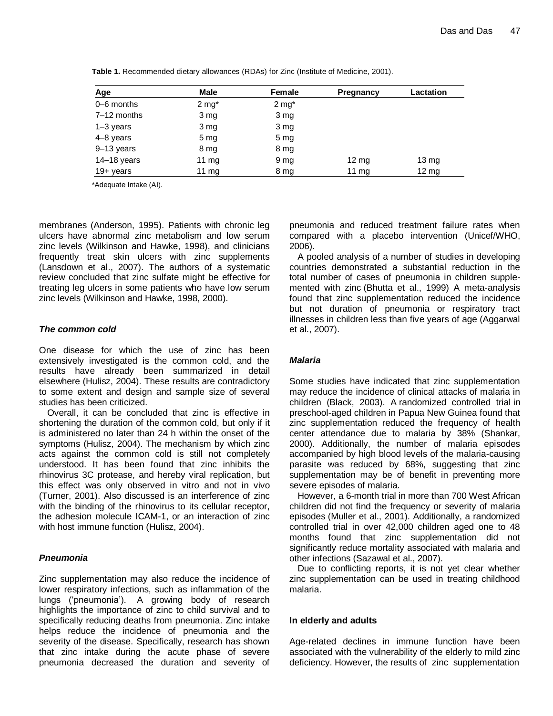| Age           | <b>Male</b>      | Female           | <b>Pregnancy</b> | Lactation        |
|---------------|------------------|------------------|------------------|------------------|
| 0–6 months    | $2 \text{ mg}^*$ | $2 \text{ mg}^*$ |                  |                  |
| 7–12 months   | 3 <sub>mg</sub>  | 3 mg             |                  |                  |
| $1-3$ years   | 3 <sub>mg</sub>  | 3 mg             |                  |                  |
| 4-8 years     | 5 <sub>mg</sub>  | 5 <sub>mg</sub>  |                  |                  |
| 9-13 years    | 8 mg             | 8 mg             |                  |                  |
| $14-18$ years | 11 $mg$          | 9 mg             | $12 \text{ mg}$  | $13 \mathrm{mg}$ |
| $19 + years$  | 11 $mg$          | 8 mg             | 11 mg            | $12 \, mg$       |

**Table 1.** Recommended dietary allowances (RDAs) for Zinc (Institute of Medicine, 2001).

\*Adequate Intake (AI).

membranes (Anderson, 1995). Patients with chronic leg ulcers have abnormal zinc metabolism and low serum zinc levels (Wilkinson and Hawke, 1998), and clinicians frequently treat skin ulcers with zinc supplements (Lansdown et al., 2007). The authors of a systematic review concluded that zinc sulfate might be effective for treating leg ulcers in some patients who have low serum zinc levels (Wilkinson and Hawke, 1998, 2000).

#### *The common cold*

One disease for which the use of zinc has been extensively investigated is the common cold, and the results have already been summarized in detail elsewhere (Hulisz, 2004). These results are contradictory to some extent and design and sample size of several studies has been criticized.

Overall, it can be concluded that zinc is effective in shortening the duration of the common cold, but only if it is administered no later than 24 h within the onset of the symptoms (Hulisz, 2004). The mechanism by which zinc acts against the common cold is still not completely understood. It has been found that zinc inhibits the rhinovirus 3C protease, and hereby viral replication, but this effect was only observed in vitro and not in vivo (Turner, 2001). Also discussed is an interference of zinc with the binding of the rhinovirus to its cellular receptor, the adhesion molecule ICAM-1, or an interaction of zinc with host immune function (Hulisz, 2004).

## *Pneumonia*

Zinc supplementation may also reduce the incidence of lower respiratory infections, such as inflammation of the lungs ("pneumonia"). A growing body of research highlights the importance of zinc to child survival and to specifically reducing deaths from pneumonia. Zinc intake helps reduce the incidence of pneumonia and the severity of the disease. Specifically, research has shown that zinc intake during the acute phase of severe pneumonia decreased the duration and severity of

pneumonia and reduced treatment failure rates when compared with a placebo intervention (Unicef/WHO, 2006).

A pooled analysis of a number of studies in developing countries demonstrated a substantial reduction in the total number of cases of pneumonia in children supplemented with zinc (Bhutta et al., 1999) A meta-analysis found that zinc supplementation reduced the incidence but not duration of pneumonia or respiratory tract illnesses in children less than five years of age (Aggarwal et al., 2007).

## *Malaria*

Some studies have indicated that zinc supplementation may reduce the incidence of clinical attacks of malaria in children (Black, 2003). A [randomized controlled trial](http://www.nutri-facts.org/rgmoodalbox-tmpl.98+M5bd9bd07748.0.html) in preschool-aged children in Papua New Guinea found that zinc supplementation reduced the frequency of health center attendance due to malaria by 38% (Shankar, 2000). Additionally, the number of malaria episodes accompanied by high blood levels of the malaria-causing parasite was reduced by 68%, suggesting that zinc supplementation may be of benefit in preventing more severe episodes of malaria.

However, a 6-month trial in more than 700 West African children did not find the frequency or severity of malaria episodes (Muller et al., 2001). Additionally, a randomized controlled trial in over 42,000 children aged one to 48 months found that zinc supplementation did not significantly reduce mortality associated with malaria and other infections (Sazawal et al., 2007).

Due to conflicting reports, it is not yet clear whether zinc supplementation can be used in treating childhood malaria.

#### **In elderly and adults**

Age-related declines in immune function have been associated with the vulnerability of the elderly to mild zinc deficiency. However, the results of zinc supplementation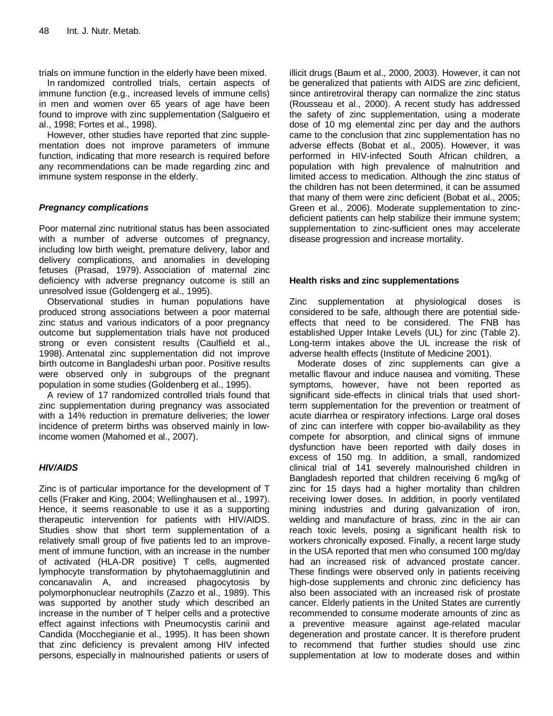trials on immune function in the elderly have been mixed.

In [randomized controlled trials,](http://www.nutri-facts.org/rgmoodalbox-tmpl.98+M5bd9bd07748.0.html) certain aspects of immune function (e.g., increased levels of immune cells) in men and women over 65 years of age have been found to improve with zinc supplementation (Salgueiro et al., 1998; Fortes et al., 1998).

However, other studies have reported that zinc supplementation does not improve parameters of immune function, indicating that more research is required before any recommendations can be made regarding zinc and immune system response in the elderly.

# *Pregnancy complications*

Poor maternal zinc nutritional status has been associated with a number of adverse outcomes of pregnancy, including low birth weight, premature delivery, labor and delivery complications, and anomalies in developing fetuses (Prasad, 1979). Association of maternal zinc deficiency with adverse pregnancy outcome is still an unresolved issue (Goldengerg et al., 1995).

Observational studies in human populations have produced strong associations between a poor maternal zinc status and various indicators of a poor pregnancy outcome but supplementation trials have not produced strong or even consistent results (Caulfield et al., 1998). Antenatal zinc supplementation did not improve birth outcome in Bangladeshi urban poor. Positive results were observed only in subgroups of the pregnant population in some studies (Goldenberg et al., 1995).

A review of 17 randomized controlled trials found that zinc supplementation during pregnancy was associated with a 14% reduction in premature deliveries; the lower incidence of preterm births was observed mainly in lowincome women (Mahomed et al., 2007).

# *HIV/AIDS*

Zinc is of particular importance for the development of T cells (Fraker and King, 2004; Wellinghausen et al., 1997). Hence, it seems reasonable to use it as a supporting therapeutic intervention for patients with HIV/AIDS. Studies show that short term supplementation of a relatively small group of five patients led to an improvement of immune function, with an increase in the number of activated (HLA-DR positive) T cells, augmented lymphocyte transformation by phytohaemagglutinin and concanavalin A, and increased phagocytosis by polymorphonuclear neutrophils (Zazzo et al., 1989). This was supported by another study which described an increase in the number of T helper cells and a protective effect against infections with Pneumocystis carinii and Candida (Mocchegianie et al., 1995). It has been shown that zinc deficiency is prevalent among HIV infected persons, especially in malnourished patients or users of

illicit drugs (Baum et al., 2000, 2003). However, it can not be generalized that patients with AIDS are zinc deficient, since antiretroviral therapy can normalize the zinc status (Rousseau et al., 2000). A recent study has addressed the safety of zinc supplementation, using a moderate dose of 10 mg elemental zinc per day and the authors came to the conclusion that zinc supplementation has no adverse effects (Bobat et al., 2005). However, it was performed in HIV-infected South African children, a population with high prevalence of malnutrition and limited access to medication. Although the zinc status of the children has not been determined, it can be assumed that many of them were zinc deficient (Bobat et al., 2005; Green et al., 2006). Moderate supplementation to zincdeficient patients can help stabilize their immune system; supplementation to zinc-sufficient ones may accelerate disease progression and increase mortality.

# **Health risks and zinc supplementations**

Zinc supplementation at physiological doses is considered to be safe, although there are potential sideeffects that need to be considered. The FNB has established Upper Intake Levels (UL) for zinc (Table 2). Long-term intakes above the UL increase the risk of adverse health effects (Institute of Medicine 2001).

Moderate doses of zinc supplements can give a metallic flavour and induce nausea and vomiting. These symptoms, however, have not been reported as significant side-effects in clinical trials that used shortterm supplementation for the prevention or treatment of acute diarrhea or respiratory infections. Large oral doses of zinc can interfere with copper bio-availability as they compete for absorption, and clinical signs of immune dysfunction have been reported with daily doses in excess of 150 mg. In addition, a small, randomized clinical trial of 141 severely malnourished children in Bangladesh reported that children receiving 6 mg/kg of zinc for 15 days had a higher mortality than children receiving lower doses. In addition, in poorly ventilated mining industries and during galvanization of iron, welding and manufacture of brass, zinc in the air can reach toxic levels, posing a significant health risk to workers chronically exposed. Finally, a recent large study in the USA reported that men who consumed 100 mg/day had an increased risk of advanced prostate cancer. These findings were observed only in patients receiving high-dose supplements and chronic zinc deficiency has also been associated with an increased risk of prostate cancer. Elderly patients in the United States are currently recommended to consume moderate amounts of zinc as a preventive measure against age-related macular degeneration and prostate cancer. It is therefore prudent to recommend that further studies should use zinc supplementation at low to moderate doses and within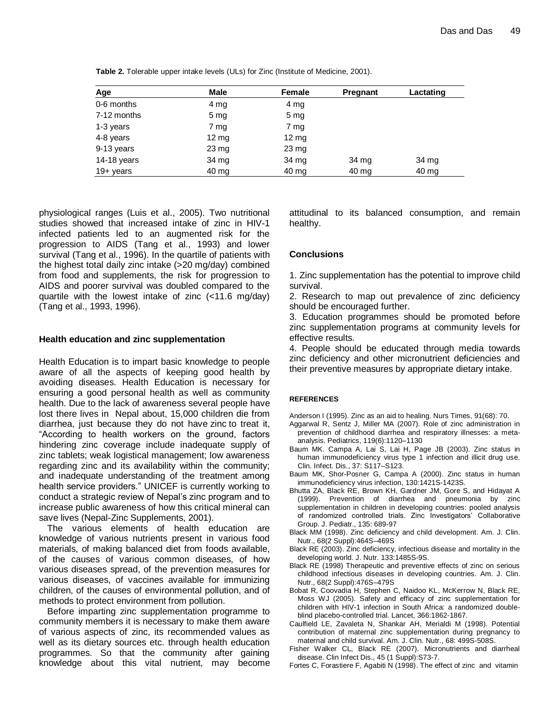| Age          | <b>Male</b>     | Female           | <b>Pregnant</b> | Lactating |
|--------------|-----------------|------------------|-----------------|-----------|
| 0-6 months   | 4 mg            | 4 mg             |                 |           |
| 7-12 months  | 5 <sub>mg</sub> | 5 <sub>mg</sub>  |                 |           |
| 1-3 years    | 7 mg            | 7 mg             |                 |           |
| 4-8 years    | $12 \text{ mg}$ | $12 \text{ mg}$  |                 |           |
| 9-13 years   | $23 \text{ mg}$ | $23 \mathrm{mg}$ |                 |           |
| 14-18 years  | 34 mg           | 34 mg            | 34 mg           | 34 mg     |
| $19 + years$ | 40 mg           | $40 \mathrm{mg}$ | 40 mg           | 40 mg     |

**Table 2.** Tolerable upper intake levels (ULs) for Zinc (Institute of Medicine, 2001).

physiological ranges (Luis et al., 2005). Two nutritional studies showed that increased intake of zinc in HIV-1 infected patients led to an augmented risk for the progression to AIDS (Tang et al., 1993) and lower survival (Tang et al., 1996). In the quartile of patients with the highest total daily zinc intake (>20 mg/day) combined from food and supplements, the risk for progression to AIDS and poorer survival was doubled compared to the quartile with the lowest intake of zinc (<11.6 mg/day) (Tang et al., 1993, 1996).

#### **Health education and zinc supplementation**

Health Education is to impart basic knowledge to people aware of all the aspects of keeping good health by avoiding diseases. Health Education is necessary for ensuring a good personal health as well as community health. Due to the lack of awareness several people have lost there lives in Nepal about, 15,000 children die from diarrhea, just because they do not have [zinc](http://en.wikipedia.org/wiki/Zinc) to treat it, "According to health workers on the ground, factors hindering zinc coverage include inadequate supply of zinc tablets; weak logistical management; low awareness regarding zinc and its availability within the community; and inadequate understanding of the treatment among health service providers." UNICEF is currently working to conduct a strategic review of Nepal"s zinc program and to increase public awareness of how this critical mineral can save lives (Nepal-Zinc Supplements, 2001).

The various elements of health education are knowledge of various nutrients present in various food materials, of making balanced diet from foods available, of the causes of various common diseases, of how various diseases spread, of the prevention measures for various diseases, of vaccines available for immunizing children, of the causes of environmental pollution, and of methods to protect environment from pollution.

Before imparting zinc supplementation programme to community members it is necessary to make them aware of various aspects of zinc, its recommended values as well as its dietary sources etc. through health education programmes. So that the community after gaining knowledge about this vital nutrient, may become attitudinal to its balanced consumption, and remain healthy.

## **Conclusions**

1. Zinc supplementation has the potential to improve child survival.

2. Research to map out prevalence of zinc deficiency should be encouraged further.

3. Education programmes should be promoted before zinc supplementation programs at community levels for effective results.

4. People should be educated through media towards zinc deficiency and other micronutrient deficiencies and their preventive measures by appropriate dietary intake.

#### **REFERENCES**

Anderson I (1995). Zinc as an aid to healing. Nurs Times, 91(68): 70.

- Aggarwal R, Sentz J, Miller MA (2007). Role of zinc administration in prevention of childhood diarrhea and respiratory illnesses: a metaanalysis. Pediatrics, 119(6):1120–1130
- Baum MK. Campa A, Lai S, Lai H, Page JB (2003). Zinc status in human immunodeficiency virus type 1 infection and illicit drug use. Clin. Infect. Dis., 37: S117–S123.
- Baum MK, Shor-Posner G, Campa A (2000). Zinc status in human immunodeficiency virus infection, 130:1421S-1423S.
- Bhutta ZA, Black RE, Brown KH, Gardner JM, Gore S, and Hidayat A (1999). Prevention of diarrhea and pneumonia by zinc supplementation in children in developing countries: pooled analysis of randomized controlled trials. Zinc Investigators" Collaborative Group. J. Pediatr., 135: 689-97
- Black MM (1998). Zinc deficiency and child development. Am. J. Clin. Nutr., 68(2 Suppl):464S–469S
- Black RE (2003). Zinc deficiency, infectious disease and mortality in the developing world. J. Nutr. 133:1485S-9S.
- Black RE (1998) Therapeutic and preventive effects of zinc on serious childhood infectious diseases in developing countries. Am. J. Clin. Nutr., 68(2 Suppl):476S–479S
- Bobat R, Coovadia H, Stephen C, Naidoo KL, McKerrow N, Black RE, Moss WJ (2005). Safety and efficacy of zinc supplementation for children with HIV-1 infection in South Africa: a randomized doubleblind placebo-controlled trial. Lancet, 366:1862-1867.
- Caulfield LE, Zavaleta N, Shankar AH, Merialdi M (1998). Potential contribution of maternal zinc supplementation during pregnancy to maternal and child survival. Am. J. Clin. Nutr., 68: 499S-508S.
- Fisher Walker CL, Black RE (2007). Micronutrients and diarrheal disease. Clin Infect Dis., 45 (1 Suppl):S73-7.
- Fortes C, Forastiere F, Agabiti N (1998). The effect of zinc and vitamin